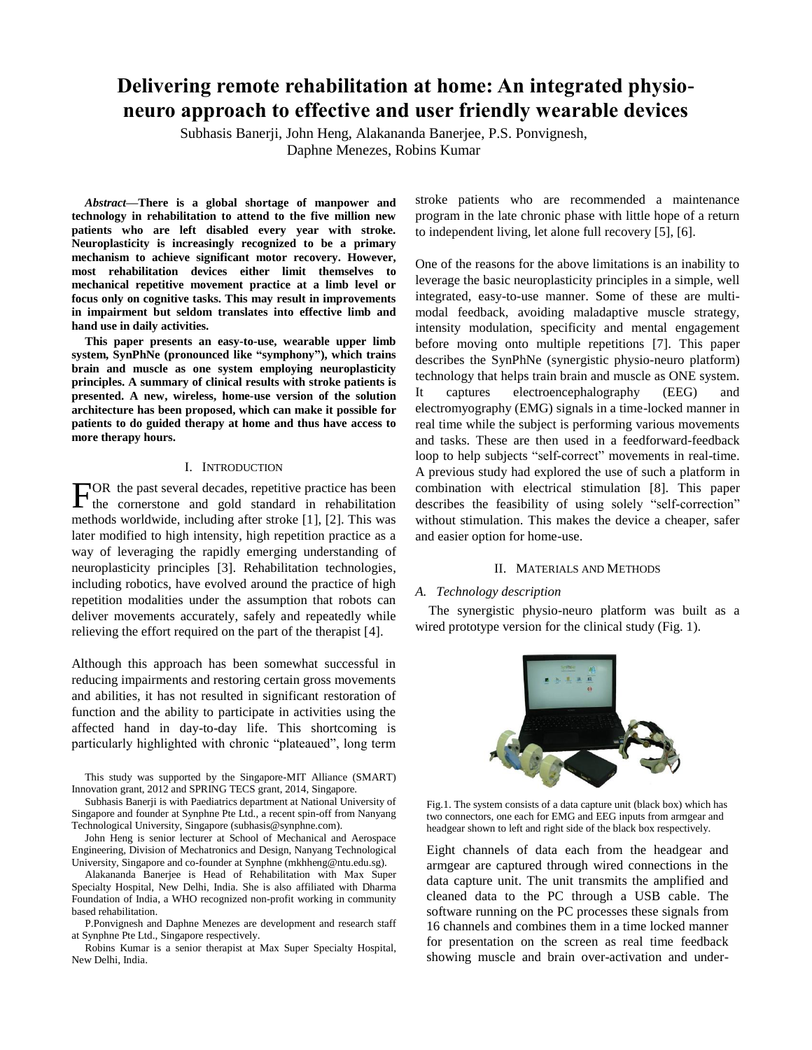# **Delivering remote rehabilitation at home: An integrated physioneuro approach to effective and user friendly wearable devices**

Subhasis Banerji, John Heng, Alakananda Banerjee, P.S. Ponvignesh, Daphne Menezes, Robins Kumar

*Abstract***—There is a global shortage of manpower and technology in rehabilitation to attend to the five million new patients who are left disabled every year with stroke. Neuroplasticity is increasingly recognized to be a primary mechanism to achieve significant motor recovery. However, most rehabilitation devices either limit themselves to mechanical repetitive movement practice at a limb level or focus only on cognitive tasks. This may result in improvements in impairment but seldom translates into effective limb and hand use in daily activities.** 

**This paper presents an easy-to-use, wearable upper limb system, SynPhNe (pronounced like "symphony"), which trains brain and muscle as one system employing neuroplasticity principles. A summary of clinical results with stroke patients is presented. A new, wireless, home-use version of the solution architecture has been proposed, which can make it possible for patients to do guided therapy at home and thus have access to more therapy hours.** 

# I. INTRODUCTION

OR the past several decades, repetitive practice has been  $\Gamma$ <sup>OR</sup> the past several decades, repetitive practice has been the cornerstone and gold standard in rehabilitation methods worldwide, including after stroke [1], [2]. This was later modified to high intensity, high repetition practice as a way of leveraging the rapidly emerging understanding of neuroplasticity principles [3]. Rehabilitation technologies, including robotics, have evolved around the practice of high repetition modalities under the assumption that robots can deliver movements accurately, safely and repeatedly while relieving the effort required on the part of the therapist [4].

Although this approach has been somewhat successful in reducing impairments and restoring certain gross movements and abilities, it has not resulted in significant restoration of function and the ability to participate in activities using the affected hand in day-to-day life. This shortcoming is particularly highlighted with chronic "plateaued", long term

This study was supported by the Singapore-MIT Alliance (SMART) Innovation grant, 2012 and SPRING TECS grant, 2014, Singapore.

Subhasis Banerji is with Paediatrics department at National University of Singapore and founder at Synphne Pte Ltd., a recent spin-off from Nanyang Technological University, Singapore (subhasis@synphne.com).

John Heng is senior lecturer at School of Mechanical and Aerospace Engineering, Division of Mechatronics and Design, Nanyang Technological University, Singapore and co-founder at Synphne (mkhheng@ntu.edu.sg).

Alakananda Banerjee is Head of Rehabilitation with Max Super Specialty Hospital, New Delhi, India. She is also affiliated with Dharma Foundation of India, a WHO recognized non-profit working in community based rehabilitation.

P.Ponvignesh and Daphne Menezes are development and research staff at Synphne Pte Ltd., Singapore respectively.

Robins Kumar is a senior therapist at Max Super Specialty Hospital, New Delhi, India.

stroke patients who are recommended a maintenance program in the late chronic phase with little hope of a return to independent living, let alone full recovery [5], [6].

One of the reasons for the above limitations is an inability to leverage the basic neuroplasticity principles in a simple, well integrated, easy-to-use manner. Some of these are multimodal feedback, avoiding maladaptive muscle strategy, intensity modulation, specificity and mental engagement before moving onto multiple repetitions [7]. This paper describes the SynPhNe (synergistic physio-neuro platform) technology that helps train brain and muscle as ONE system. It captures electroencephalography (EEG) and electromyography (EMG) signals in a time-locked manner in real time while the subject is performing various movements and tasks. These are then used in a feedforward-feedback loop to help subjects "self-correct" movements in real-time. A previous study had explored the use of such a platform in combination with electrical stimulation [8]. This paper describes the feasibility of using solely "self-correction" without stimulation. This makes the device a cheaper, safer and easier option for home-use.

## II. MATERIALS AND METHODS

## *A. Technology description*

The synergistic physio-neuro platform was built as a wired prototype version for the clinical study (Fig. 1).



Fig.1. The system consists of a data capture unit (black box) which has two connectors, one each for EMG and EEG inputs from armgear and headgear shown to left and right side of the black box respectively.

Eight channels of data each from the headgear and armgear are captured through wired connections in the data capture unit. The unit transmits the amplified and cleaned data to the PC through a USB cable. The software running on the PC processes these signals from 16 channels and combines them in a time locked manner for presentation on the screen as real time feedback showing muscle and brain over-activation and under-